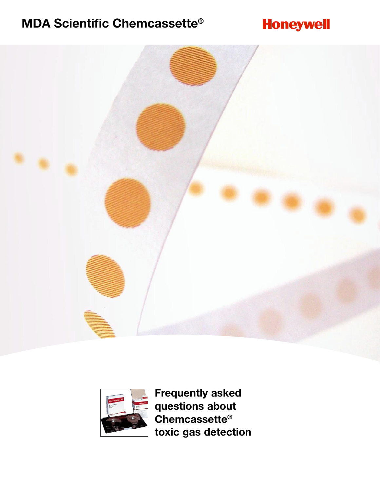# **MDA Scientific Chemcassette®**

# **Honeywell**





**Frequently asked questions about Chemcassette® toxic gas detection**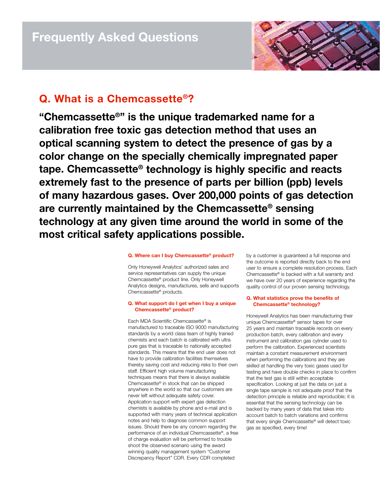# **Q. What is a Chemcassette®?**

**"Chemcassette®" is the unique trademarked name for a calibration free toxic gas detection method that uses an optical scanning system to detect the presence of gas by a color change on the specially chemically impregnated paper tape. Chemcassette® technology is highly specific and reacts extremely fast to the presence of parts per billion (ppb) levels of many hazardous gases. Over 200,000 points of gas detection are currently maintained by the Chemcassette® sensing technology at any given time around the world in some of the most critical safety applications possible.** 

## **Q. Where can I buy Chemcassette® product?**

Only Honeywell Analytics' authorized sales and service representatives can supply the unique Chemcassette® product line. Only Honeywell Analytics designs, manufactures, sells and supports Chemcassette® products.

## **Q. What support do I get when I buy a unique Chemcassette® product?**

Each MDA Scientific Chemcassette® is manufactured to traceable ISO 9000 manufacturing standards by a world class team of highly trained chemists and each batch is calibrated with ultra pure gas that is traceable to nationally accepted standards. This means that the end user does not have to provide calibration facilities themselves thereby saving cost and reducing risks to their own staff. Efficient high volume manufacturing techniques means that there is always available Chemcassette® in stock that can be shipped anywhere in the world so that our customers are never left without adequate safety cover. Application support with expert gas detection chemists is available by phone and e-mail and is supported with many years of technical application notes and help to diagnose common support issues. Should there be any concern regarding the performance of an individual Chemcassette®, a free of charge evaluation will be performed to trouble shoot the observed scenario using the award winning quality management system "Customer Discrepancy Report" CDR. Every CDR completed

by a customer is guaranteed a full response and the outcome is reported directly back to the end user to ensure a complete resolution process. Each Chemcassette® is backed with a full warranty and we have over 20 years of experience regarding the quality control of our proven sensing technology.

## **Q. What statistics prove the benefits of Chemcassette® technology?**

Honeywell Analytics has been manufacturing their unique Chemcassette® sensor tapes for over 25 years and maintain traceable records on every production batch, every calibration and every instrument and calibration gas cylinder used to perform the calibration. Experienced scientists maintain a constant measurement environment when performing the calibrations and they are skilled at handling the very toxic gases used for testing and have double checks in place to confirm that the test gas is still within acceptable specification. Looking at just the data on just a single tape sample is not adequate proof that the detection principle is reliable and reproducible; it is essential that the sensing technology can be backed by many years of data that takes into account batch to batch variations and confirms that every single Chemcassette® will detect toxic gas as specified, every time!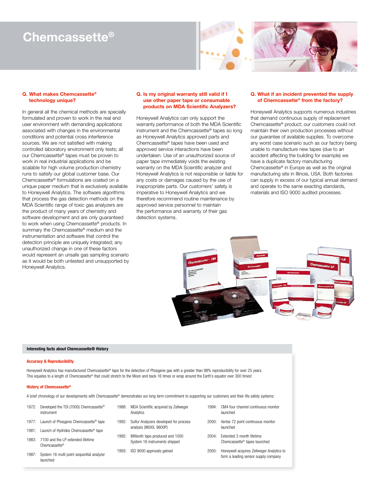# **Chemcassette®**



### **Q. What makes Chemcassette® technology unique?**

In general all the chemical methods are specially formulated and proven to work in the real end user environment with demanding applications associated with changes in the environmental conditions and potential cross interference sources. We are not satisfied with making controlled laboratory environment only tests; all our Chemcassette® tapes must be proven to work in real industrial applications and be scalable for high volume production chemistry runs to satisfy our global customer base. Our Chemcassette® formulations are coated on a unique paper medium that is exclusively available to Honeywell Analytics. The software algorithms that process the gas detection methods on the MDA Scientific range of toxic gas analyzers are the product of many years of chemistry and software development and are only guaranteed to work when using Chemcassette® products. In summary the Chemcassette® medium and the instrumentation and software that control the detection principle are uniquely integrated; any unauthorized change in one of these factors would represent an unsafe gas sampling scenario as it would be both untested and unsupported by Honeywell Analytics.

## **Q. Is my original warranty still valid if I use other paper tape or consumable products on MDA Scientific Analyzers?**

Honeywell Analytics can only support the warranty performance of both the MDA Scientific instrument and the Chemcassette® tapes so long as Honeywell Analytics approved parts and Chemcassette® tapes have been used and approved service interactions have been undertaken. Use of an unauthorized source of paper tape immediately voids the existing warranty on the MDA Scientific analyzer and Honeywell Analytics is not responsible or liable for any costs or damages caused by the use of inappropriate parts. Our customers' safety is imperative to Honeywell Analytics and we therefore recommend routine maintenance by approved service personnel to maintain the performance and warranty of their gas detection systems.

## **Q. What if an incident prevented the supply of Chemcassette® from the factory?**

Honeywell Analytics supports numerous industries that demand continuous supply of replacement Chemcassette® product; our customers could not maintain their own production processes without our guarantee of available supplies. To overcome any worst case scenario such as our factory being unable to manufacture new tapes (due to an accident affecting the building for example) we have a duplicate factory manufacturing Chemcassette® in Europe as well as the original manufacturing site in Illinois, USA. Both factories can supply in excess of our typical annual demand and operate to the same exacting standards, materials and ISO 9000 audited processes.



### **Interesting facts about Chemcassette® History**

### **Accuracy & Reproducibility**

Honeywell Analytics has manufactured Chemcassette® tape for the detection of Phosgene gas with a greater than 98% reproducibility for over 25 years. This equates to a length of Chemcassette® that could stretch to the Moon and back 16 times or wrap around the Earth's equator over 300 times!

### **History of Chemcassette®**

A brief chronology of our developments with Chemcassette® demonstrates our long term commitment to supporting our customers and their life safety systems:

| 1972: | Developed the TDI (7000) Chemcassette <sup>®</sup><br>instrument | 1988: | MDA Scientific acquired by Zellweger<br>Analytics                 | 1994:    | CM4 four channel continuous monitor<br>launched                                   |
|-------|------------------------------------------------------------------|-------|-------------------------------------------------------------------|----------|-----------------------------------------------------------------------------------|
| 1977: | Launch of Phosgene Chemcassette <sup>®</sup> tape                | 1992: | Sulfur Analyzers developed for process                            | 2000:    | Vertex 72 point continuous monitor<br>launched                                    |
|       | 1981: Launch of Hydrides Chemcassette <sup>®</sup> tape          |       | analysis (9600L 9600P)                                            |          |                                                                                   |
| 1983: | 7100 and the I P extended lifetime<br>Chemcassette <sup>®</sup>  | 1992: | Millionth tape produced and 1000<br>System 16 instruments shipped | $2004 -$ | Extended 3 month lifetime<br>Chemcassette <sup>®</sup> tapes launched             |
| 1987: | System 16 multi point sequential analyzer<br>launched            | 1993: | ISO 9000 approvals gained                                         | 2005:    | Honeywell acquires Zellweger Analytics to<br>form a leading sensor supply company |